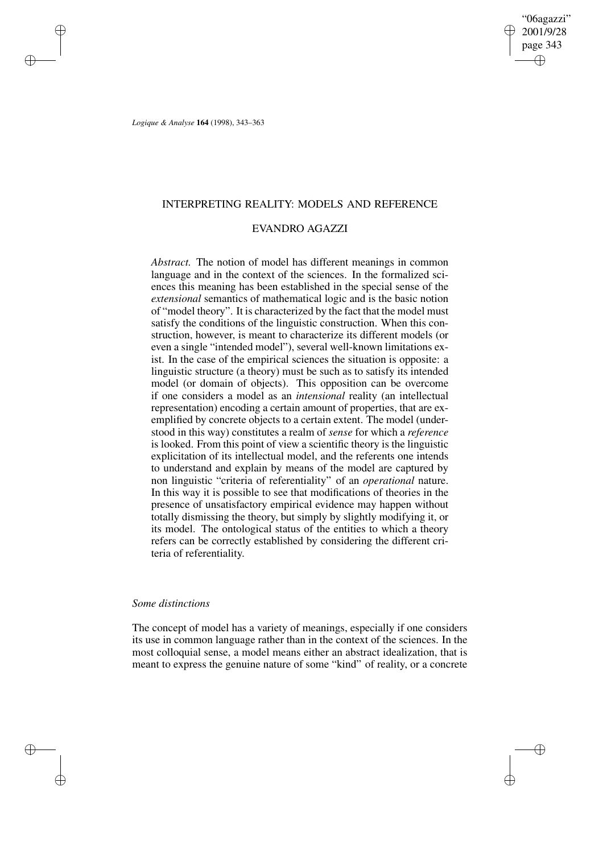# INTERPRETING REALITY: MODELS AND REFERENCE

# EVANDRO AGAZZI

*Abstract.* The notion of model has different meanings in common language and in the context of the sciences. In the formalized sciences this meaning has been established in the special sense of the *extensional* semantics of mathematical logic and is the basic notion of "model theory". It is characterized by the fact that the model must satisfy the conditions of the linguistic construction. When this construction, however, is meant to characterize its different models (or even a single "intended model"), several well-known limitations exist. In the case of the empirical sciences the situation is opposite: a linguistic structure (a theory) must be such as to satisfy its intended model (or domain of objects). This opposition can be overcome if one considers a model as an *intensional* reality (an intellectual representation) encoding a certain amount of properties, that are exemplified by concrete objects to a certain extent. The model (understood in this way) constitutes a realm of *sense* for which a *reference* is looked. From this point of view a scientific theory is the linguistic explicitation of its intellectual model, and the referents one intends to understand and explain by means of the model are captured by non linguistic "criteria of referentiality" of an *operational* nature. In this way it is possible to see that modifications of theories in the presence of unsatisfactory empirical evidence may happen without totally dismissing the theory, but simply by slightly modifying it, or its model. The ontological status of the entities to which a theory refers can be correctly established by considering the different criteria of referentiality.

# *Some distinctions*

The concept of model has a variety of meanings, especially if one considers its use in common language rather than in the context of the sciences. In the most colloquial sense, a model means either an abstract idealization, that is meant to express the genuine nature of some "kind" of reality, or a concrete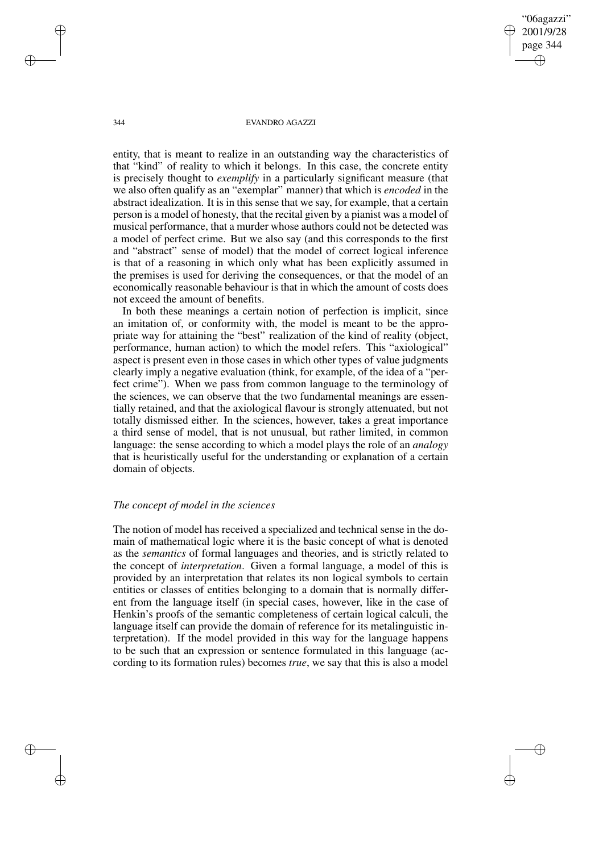entity, that is meant to realize in an outstanding way the characteristics of that "kind" of reality to which it belongs. In this case, the concrete entity is precisely thought to *exemplify* in a particularly significant measure (that we also often qualify as an "exemplar" manner) that which is *encoded* in the abstract idealization. It is in this sense that we say, for example, that a certain person is a model of honesty, that the recital given by a pianist was a model of musical performance, that a murder whose authors could not be detected was a model of perfect crime. But we also say (and this corresponds to the first and "abstract" sense of model) that the model of correct logical inference is that of a reasoning in which only what has been explicitly assumed in the premises is used for deriving the consequences, or that the model of an economically reasonable behaviour is that in which the amount of costs does not exceed the amount of benefits.

In both these meanings a certain notion of perfection is implicit, since an imitation of, or conformity with, the model is meant to be the appropriate way for attaining the "best" realization of the kind of reality (object, performance, human action) to which the model refers. This "axiological" aspect is present even in those cases in which other types of value judgments clearly imply a negative evaluation (think, for example, of the idea of a "perfect crime"). When we pass from common language to the terminology of the sciences, we can observe that the two fundamental meanings are essentially retained, and that the axiological flavour is strongly attenuated, but not totally dismissed either. In the sciences, however, takes a great importance a third sense of model, that is not unusual, but rather limited, in common language: the sense according to which a model plays the role of an *analogy* that is heuristically useful for the understanding or explanation of a certain domain of objects.

## *The concept of model in the sciences*

The notion of model has received a specialized and technical sense in the domain of mathematical logic where it is the basic concept of what is denoted as the *semantics* of formal languages and theories, and is strictly related to the concept of *interpretation*. Given a formal language, a model of this is provided by an interpretation that relates its non logical symbols to certain entities or classes of entities belonging to a domain that is normally different from the language itself (in special cases, however, like in the case of Henkin's proofs of the semantic completeness of certain logical calculi, the language itself can provide the domain of reference for its metalinguistic interpretation). If the model provided in this way for the language happens to be such that an expression or sentence formulated in this language (according to its formation rules) becomes *true*, we say that this is also a model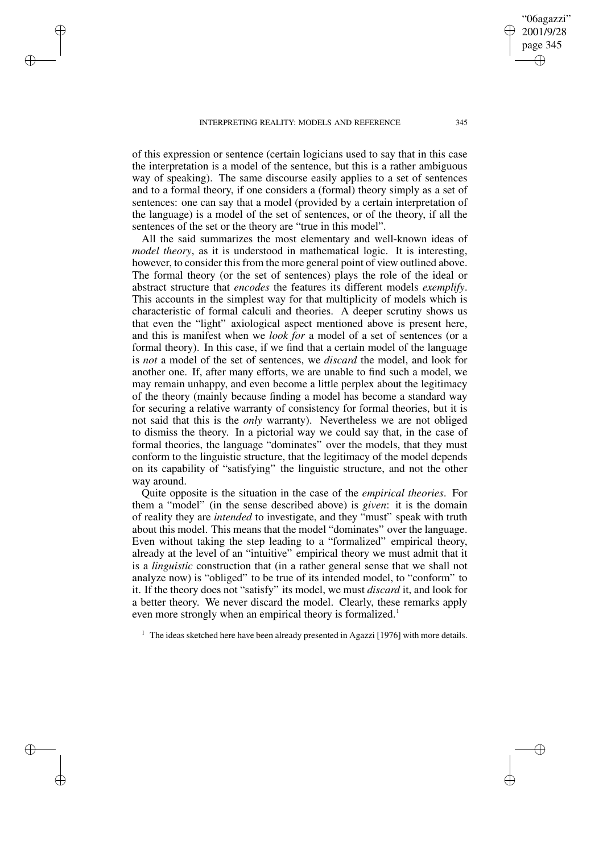of this expression or sentence (certain logicians used to say that in this case the interpretation is a model of the sentence, but this is a rather ambiguous way of speaking). The same discourse easily applies to a set of sentences and to a formal theory, if one considers a (formal) theory simply as a set of sentences: one can say that a model (provided by a certain interpretation of the language) is a model of the set of sentences, or of the theory, if all the sentences of the set or the theory are "true in this model".

All the said summarizes the most elementary and well-known ideas of *model theory*, as it is understood in mathematical logic. It is interesting, however, to consider this from the more general point of view outlined above. The formal theory (or the set of sentences) plays the role of the ideal or abstract structure that *encodes* the features its different models *exemplify*. This accounts in the simplest way for that multiplicity of models which is characteristic of formal calculi and theories. A deeper scrutiny shows us that even the "light" axiological aspect mentioned above is present here, and this is manifest when we *look for* a model of a set of sentences (or a formal theory). In this case, if we find that a certain model of the language is *not* a model of the set of sentences, we *discard* the model, and look for another one. If, after many efforts, we are unable to find such a model, we may remain unhappy, and even become a little perplex about the legitimacy of the theory (mainly because finding a model has become a standard way for securing a relative warranty of consistency for formal theories, but it is not said that this is the *only* warranty). Nevertheless we are not obliged to dismiss the theory. In a pictorial way we could say that, in the case of formal theories, the language "dominates" over the models, that they must conform to the linguistic structure, that the legitimacy of the model depends on its capability of "satisfying" the linguistic structure, and not the other way around.

Quite opposite is the situation in the case of the *empirical theories*. For them a "model" (in the sense described above) is *given*: it is the domain of reality they are *intended* to investigate, and they "must" speak with truth about this model. This means that the model "dominates" over the language. Even without taking the step leading to a "formalized" empirical theory, already at the level of an "intuitive" empirical theory we must admit that it is a *linguistic* construction that (in a rather general sense that we shall not analyze now) is "obliged" to be true of its intended model, to "conform" to it. If the theory does not "satisfy" its model, we must *discard* it, and look for a better theory. We never discard the model. Clearly, these remarks apply even more strongly when an empirical theory is formalized.<sup>1</sup>

 $1$  The ideas sketched here have been already presented in Agazzi [1976] with more details.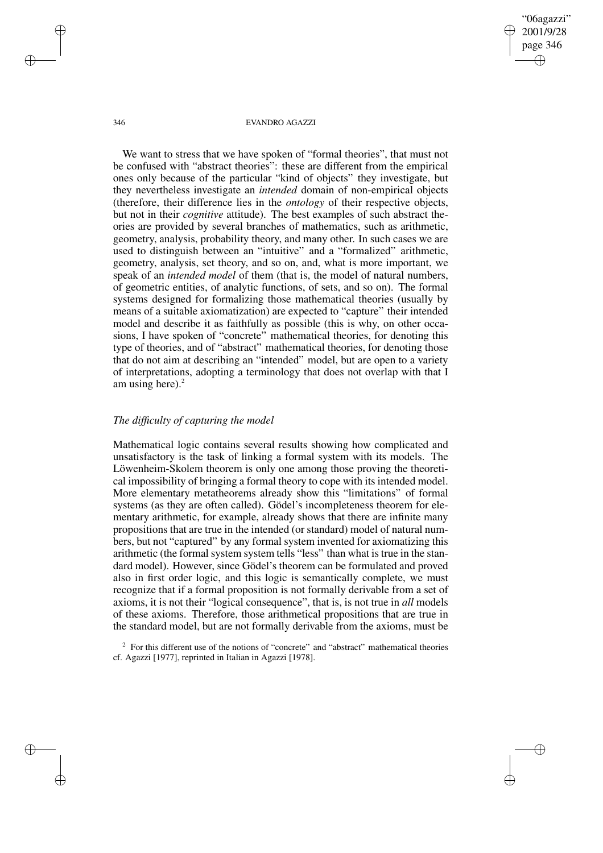We want to stress that we have spoken of "formal theories", that must not be confused with "abstract theories": these are different from the empirical ones only because of the particular "kind of objects" they investigate, but they nevertheless investigate an *intended* domain of non-empirical objects (therefore, their difference lies in the *ontology* of their respective objects, but not in their *cognitive* attitude). The best examples of such abstract theories are provided by several branches of mathematics, such as arithmetic, geometry, analysis, probability theory, and many other. In such cases we are used to distinguish between an "intuitive" and a "formalized" arithmetic, geometry, analysis, set theory, and so on, and, what is more important, we speak of an *intended model* of them (that is, the model of natural numbers, of geometric entities, of analytic functions, of sets, and so on). The formal systems designed for formalizing those mathematical theories (usually by means of a suitable axiomatization) are expected to "capture" their intended model and describe it as faithfully as possible (this is why, on other occasions, I have spoken of "concrete" mathematical theories, for denoting this type of theories, and of "abstract" mathematical theories, for denoting those that do not aim at describing an "intended" model, but are open to a variety of interpretations, adopting a terminology that does not overlap with that I am using here). $2$ 

## *The difficulty of capturing the model*

Mathematical logic contains several results showing how complicated and unsatisfactory is the task of linking a formal system with its models. The Löwenheim-Skolem theorem is only one among those proving the theoretical impossibility of bringing a formal theory to cope with its intended model. More elementary metatheorems already show this "limitations" of formal systems (as they are often called). Gödel's incompleteness theorem for elementary arithmetic, for example, already shows that there are infinite many propositions that are true in the intended (or standard) model of natural numbers, but not "captured" by any formal system invented for axiomatizing this arithmetic (the formal system system tells "less" than what is true in the standard model). However, since Gödel's theorem can be formulated and proved also in first order logic, and this logic is semantically complete, we must recognize that if a formal proposition is not formally derivable from a set of axioms, it is not their "logical consequence", that is, is not true in *all* models of these axioms. Therefore, those arithmetical propositions that are true in the standard model, but are not formally derivable from the axioms, must be

 $2^{\circ}$  For this different use of the notions of "concrete" and "abstract" mathematical theories cf. Agazzi [1977], reprinted in Italian in Agazzi [1978].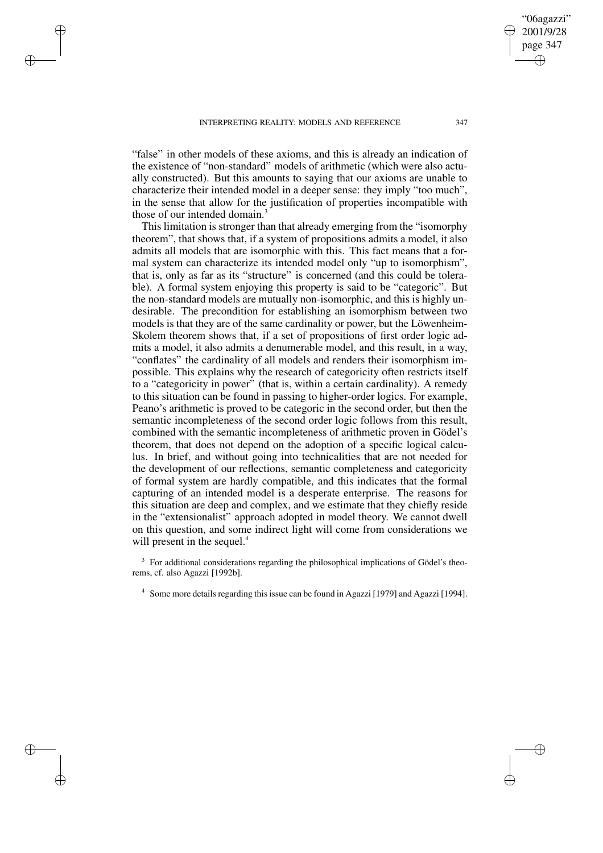"false" in other models of these axioms, and this is already an indication of the existence of "non-standard" models of arithmetic (which were also actually constructed). But this amounts to saying that our axioms are unable to characterize their intended model in a deeper sense: they imply "too much", in the sense that allow for the justification of properties incompatible with those of our intended domain.<sup>3</sup>

This limitation is stronger than that already emerging from the "isomorphy theorem", that shows that, if a system of propositions admits a model, it also admits all models that are isomorphic with this. This fact means that a formal system can characterize its intended model only "up to isomorphism", that is, only as far as its "structure" is concerned (and this could be tolerable). A formal system enjoying this property is said to be "categoric". But the non-standard models are mutually non-isomorphic, and this is highly undesirable. The precondition for establishing an isomorphism between two models is that they are of the same cardinality or power, but the Löwenheim-Skolem theorem shows that, if a set of propositions of first order logic admits a model, it also admits a denumerable model, and this result, in a way, "conflates" the cardinality of all models and renders their isomorphism impossible. This explains why the research of categoricity often restricts itself to a "categoricity in power" (that is, within a certain cardinality). A remedy to this situation can be found in passing to higher-order logics. For example, Peano's arithmetic is proved to be categoric in the second order, but then the semantic incompleteness of the second order logic follows from this result, combined with the semantic incompleteness of arithmetic proven in Gödel's theorem, that does not depend on the adoption of a specific logical calculus. In brief, and without going into technicalities that are not needed for the development of our reflections, semantic completeness and categoricity of formal system are hardly compatible, and this indicates that the formal capturing of an intended model is a desperate enterprise. The reasons for this situation are deep and complex, and we estimate that they chiefly reside in the "extensionalist" approach adopted in model theory. We cannot dwell on this question, and some indirect light will come from considerations we will present in the sequel.<sup>4</sup>

<sup>3</sup> For additional considerations regarding the philosophical implications of Gödel's theorems, cf. also Agazzi [1992b].

<sup>4</sup> Some more details regarding this issue can be found in Agazzi [1979] and Agazzi [1994].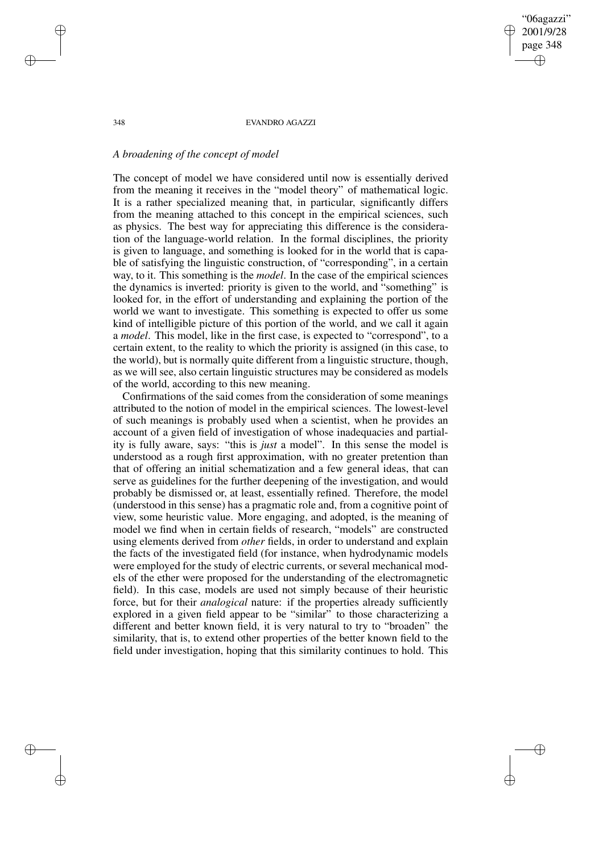# *A broadening of the concept of model*

The concept of model we have considered until now is essentially derived from the meaning it receives in the "model theory" of mathematical logic. It is a rather specialized meaning that, in particular, significantly differs from the meaning attached to this concept in the empirical sciences, such as physics. The best way for appreciating this difference is the consideration of the language-world relation. In the formal disciplines, the priority is given to language, and something is looked for in the world that is capable of satisfying the linguistic construction, of "corresponding", in a certain way, to it. This something is the *model*. In the case of the empirical sciences the dynamics is inverted: priority is given to the world, and "something" is looked for, in the effort of understanding and explaining the portion of the world we want to investigate. This something is expected to offer us some kind of intelligible picture of this portion of the world, and we call it again a *model*. This model, like in the first case, is expected to "correspond", to a certain extent, to the reality to which the priority is assigned (in this case, to the world), but is normally quite different from a linguistic structure, though, as we will see, also certain linguistic structures may be considered as models of the world, according to this new meaning.

Confirmations of the said comes from the consideration of some meanings attributed to the notion of model in the empirical sciences. The lowest-level of such meanings is probably used when a scientist, when he provides an account of a given field of investigation of whose inadequacies and partiality is fully aware, says: "this is *just* a model". In this sense the model is understood as a rough first approximation, with no greater pretention than that of offering an initial schematization and a few general ideas, that can serve as guidelines for the further deepening of the investigation, and would probably be dismissed or, at least, essentially refined. Therefore, the model (understood in this sense) has a pragmatic role and, from a cognitive point of view, some heuristic value. More engaging, and adopted, is the meaning of model we find when in certain fields of research, "models" are constructed using elements derived from *other* fields, in order to understand and explain the facts of the investigated field (for instance, when hydrodynamic models were employed for the study of electric currents, or several mechanical models of the ether were proposed for the understanding of the electromagnetic field). In this case, models are used not simply because of their heuristic force, but for their *analogical* nature: if the properties already sufficiently explored in a given field appear to be "similar" to those characterizing a different and better known field, it is very natural to try to "broaden" the similarity, that is, to extend other properties of the better known field to the field under investigation, hoping that this similarity continues to hold. This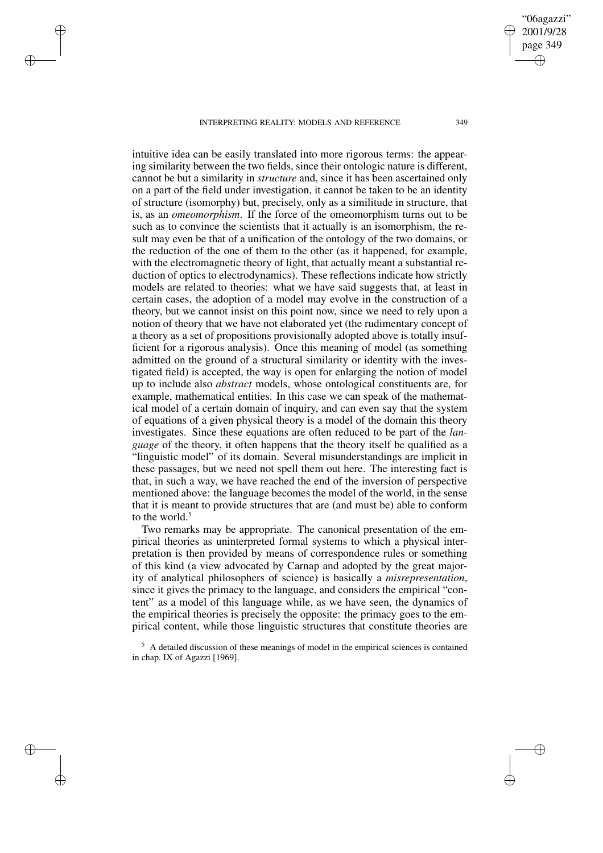intuitive idea can be easily translated into more rigorous terms: the appearing similarity between the two fields, since their ontologic nature is different, cannot be but a similarity in *structure* and, since it has been ascertained only on a part of the field under investigation, it cannot be taken to be an identity of structure (isomorphy) but, precisely, only as a similitude in structure, that is, as an *omeomorphism*. If the force of the omeomorphism turns out to be such as to convince the scientists that it actually is an isomorphism, the result may even be that of a unification of the ontology of the two domains, or the reduction of the one of them to the other (as it happened, for example, with the electromagnetic theory of light, that actually meant a substantial reduction of optics to electrodynamics). These reflections indicate how strictly models are related to theories: what we have said suggests that, at least in certain cases, the adoption of a model may evolve in the construction of a theory, but we cannot insist on this point now, since we need to rely upon a notion of theory that we have not elaborated yet (the rudimentary concept of a theory as a set of propositions provisionally adopted above is totally insufficient for a rigorous analysis). Once this meaning of model (as something admitted on the ground of a structural similarity or identity with the investigated field) is accepted, the way is open for enlarging the notion of model up to include also *abstract* models, whose ontological constituents are, for example, mathematical entities. In this case we can speak of the mathematical model of a certain domain of inquiry, and can even say that the system of equations of a given physical theory is a model of the domain this theory investigates. Since these equations are often reduced to be part of the *language* of the theory, it often happens that the theory itself be qualified as a "linguistic model" of its domain. Several misunderstandings are implicit in these passages, but we need not spell them out here. The interesting fact is that, in such a way, we have reached the end of the inversion of perspective mentioned above: the language becomes the model of the world, in the sense that it is meant to provide structures that are (and must be) able to conform to the world  $5$ 

Two remarks may be appropriate. The canonical presentation of the empirical theories as uninterpreted formal systems to which a physical interpretation is then provided by means of correspondence rules or something of this kind (a view advocated by Carnap and adopted by the great majority of analytical philosophers of science) is basically a *misrepresentation*, since it gives the primacy to the language, and considers the empirical "content" as a model of this language while, as we have seen, the dynamics of the empirical theories is precisely the opposite: the primacy goes to the empirical content, while those linguistic structures that constitute theories are

 $<sup>5</sup>$  A detailed discussion of these meanings of model in the empirical sciences is contained</sup> in chap. IX of Agazzi [1969].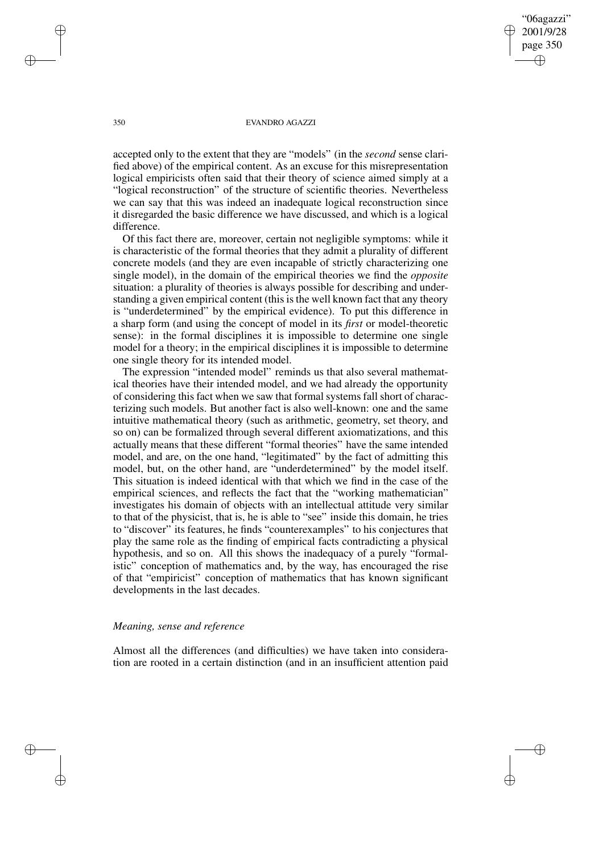accepted only to the extent that they are "models" (in the *second* sense clarified above) of the empirical content. As an excuse for this misrepresentation logical empiricists often said that their theory of science aimed simply at a "logical reconstruction" of the structure of scientific theories. Nevertheless we can say that this was indeed an inadequate logical reconstruction since it disregarded the basic difference we have discussed, and which is a logical difference.

Of this fact there are, moreover, certain not negligible symptoms: while it is characteristic of the formal theories that they admit a plurality of different concrete models (and they are even incapable of strictly characterizing one single model), in the domain of the empirical theories we find the *opposite* situation: a plurality of theories is always possible for describing and understanding a given empirical content (this is the well known fact that any theory is "underdetermined" by the empirical evidence). To put this difference in a sharp form (and using the concept of model in its *first* or model-theoretic sense): in the formal disciplines it is impossible to determine one single model for a theory; in the empirical disciplines it is impossible to determine one single theory for its intended model.

The expression "intended model" reminds us that also several mathematical theories have their intended model, and we had already the opportunity of considering this fact when we saw that formal systems fall short of characterizing such models. But another fact is also well-known: one and the same intuitive mathematical theory (such as arithmetic, geometry, set theory, and so on) can be formalized through several different axiomatizations, and this actually means that these different "formal theories" have the same intended model, and are, on the one hand, "legitimated" by the fact of admitting this model, but, on the other hand, are "underdetermined" by the model itself. This situation is indeed identical with that which we find in the case of the empirical sciences, and reflects the fact that the "working mathematician" investigates his domain of objects with an intellectual attitude very similar to that of the physicist, that is, he is able to "see" inside this domain, he tries to "discover" its features, he finds "counterexamples" to his conjectures that play the same role as the finding of empirical facts contradicting a physical hypothesis, and so on. All this shows the inadequacy of a purely "formalistic" conception of mathematics and, by the way, has encouraged the rise of that "empiricist" conception of mathematics that has known significant developments in the last decades.

## *Meaning, sense and reference*

Almost all the differences (and difficulties) we have taken into consideration are rooted in a certain distinction (and in an insufficient attention paid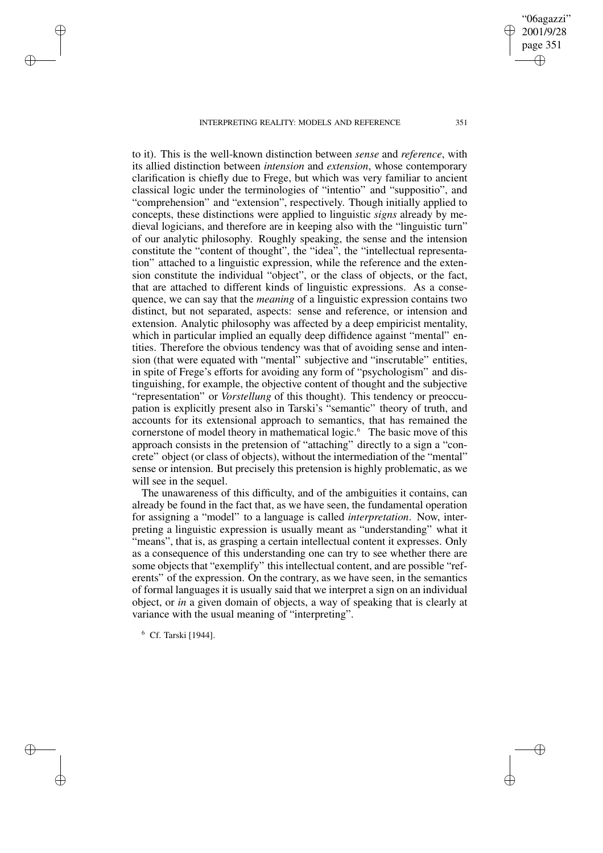to it). This is the well-known distinction between *sense* and *reference*, with its allied distinction between *intension* and *extension*, whose contemporary clarification is chiefly due to Frege, but which was very familiar to ancient classical logic under the terminologies of "intentio" and "suppositio", and "comprehension" and "extension", respectively. Though initially applied to concepts, these distinctions were applied to linguistic *signs* already by medieval logicians, and therefore are in keeping also with the "linguistic turn" of our analytic philosophy. Roughly speaking, the sense and the intension constitute the "content of thought", the "idea", the "intellectual representation" attached to a linguistic expression, while the reference and the extension constitute the individual "object", or the class of objects, or the fact, that are attached to different kinds of linguistic expressions. As a consequence, we can say that the *meaning* of a linguistic expression contains two distinct, but not separated, aspects: sense and reference, or intension and extension. Analytic philosophy was affected by a deep empiricist mentality, which in particular implied an equally deep diffidence against "mental" entities. Therefore the obvious tendency was that of avoiding sense and intension (that were equated with "mental" subjective and "inscrutable" entities, in spite of Frege's efforts for avoiding any form of "psychologism" and distinguishing, for example, the objective content of thought and the subjective "representation" or *Vorstellung* of this thought). This tendency or preoccupation is explicitly present also in Tarski's "semantic" theory of truth, and accounts for its extensional approach to semantics, that has remained the cornerstone of model theory in mathematical logic.<sup>6</sup> The basic move of this approach consists in the pretension of "attaching" directly to a sign a "concrete" object (or class of objects), without the intermediation of the "mental" sense or intension. But precisely this pretension is highly problematic, as we will see in the sequel.

The unawareness of this difficulty, and of the ambiguities it contains, can already be found in the fact that, as we have seen, the fundamental operation for assigning a "model" to a language is called *interpretation*. Now, interpreting a linguistic expression is usually meant as "understanding" what it "means", that is, as grasping a certain intellectual content it expresses. Only as a consequence of this understanding one can try to see whether there are some objects that "exemplify" this intellectual content, and are possible "referents" of the expression. On the contrary, as we have seen, in the semantics of formal languages it is usually said that we interpret a sign on an individual object, or *in* a given domain of objects, a way of speaking that is clearly at variance with the usual meaning of "interpreting".

<sup>6</sup> Cf. Tarski [1944].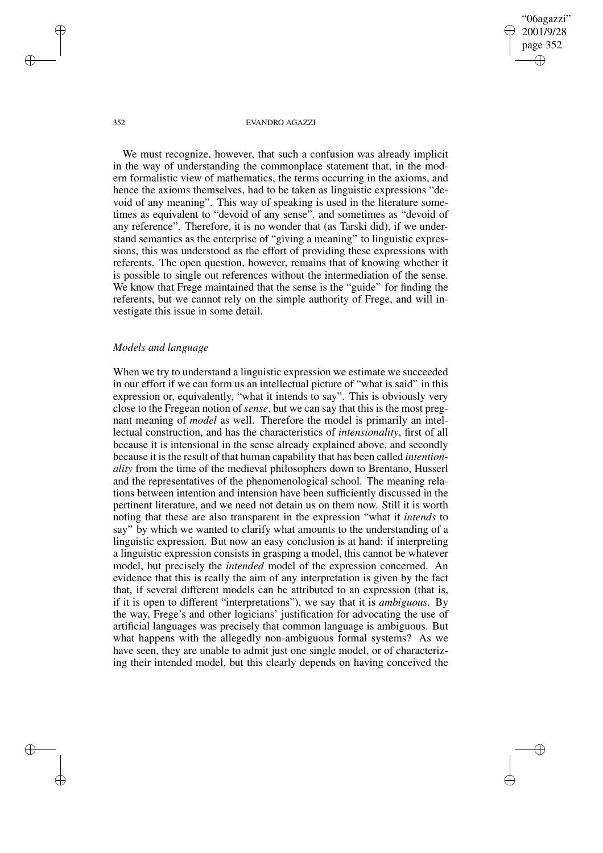We must recognize, however, that such a confusion was already implicit in the way of understanding the commonplace statement that, in the modern formalistic view of mathematics, the terms occurring in the axioms, and hence the axioms themselves, had to be taken as linguistic expressions "devoid of any meaning". This way of speaking is used in the literature sometimes as equivalent to "devoid of any sense", and sometimes as "devoid of any reference". Therefore, it is no wonder that (as Tarski did), if we understand semantics as the enterprise of "giving a meaning" to linguistic expressions, this was understood as the effort of providing these expressions with referents. The open question, however, remains that of knowing whether it is possible to single out references without the intermediation of the sense. We know that Frege maintained that the sense is the "guide" for finding the referents, but we cannot rely on the simple authority of Frege, and will investigate this issue in some detail.

### *Models and language*

When we try to understand a linguistic expression we estimate we succeeded in our effort if we can form us an intellectual picture of "what is said" in this expression or, equivalently, "what it intends to say". This is obviously very close to the Fregean notion of *sense*, but we can say that this is the most pregnant meaning of *model* as well. Therefore the model is primarily an intellectual construction, and has the characteristics of *intensionality*, first of all because it is intensional in the sense already explained above, and secondly because it isthe result of that human capability that has been called *intentionality* from the time of the medieval philosophers down to Brentano, Husserl and the representatives of the phenomenological school. The meaning relations between intention and intension have been sufficiently discussed in the pertinent literature, and we need not detain us on them now. Still it is worth noting that these are also transparent in the expression "what it *intends* to say" by which we wanted to clarify what amounts to the understanding of a linguistic expression. But now an easy conclusion is at hand: if interpreting a linguistic expression consists in grasping a model, this cannot be whatever model, but precisely the *intended* model of the expression concerned. An evidence that this is really the aim of any interpretation is given by the fact that, if several different models can be attributed to an expression (that is, if it is open to different "interpretations"), we say that it is *ambiguous*. By the way, Frege's and other logicians' justification for advocating the use of artificial languages was precisely that common language is ambiguous. But what happens with the allegedly non-ambiguous formal systems? As we have seen, they are unable to admit just one single model, or of characterizing their intended model, but this clearly depends on having conceived the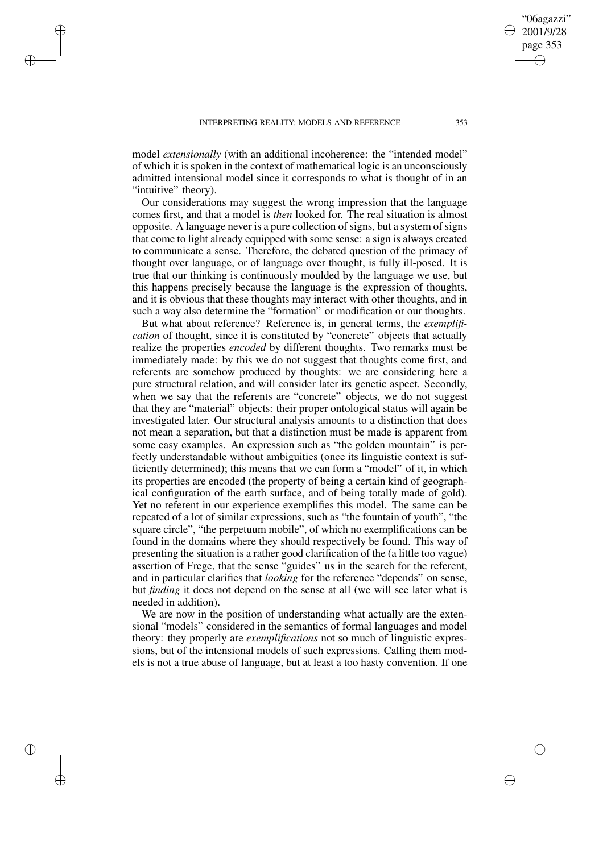model *extensionally* (with an additional incoherence: the "intended model" of which it is spoken in the context of mathematical logic is an unconsciously admitted intensional model since it corresponds to what is thought of in an "intuitive" theory).

Our considerations may suggest the wrong impression that the language comes first, and that a model is *then* looked for. The real situation is almost opposite. A language never is a pure collection of signs, but a system of signs that come to light already equipped with some sense: a sign is always created to communicate a sense. Therefore, the debated question of the primacy of thought over language, or of language over thought, is fully ill-posed. It is true that our thinking is continuously moulded by the language we use, but this happens precisely because the language is the expression of thoughts, and it is obvious that these thoughts may interact with other thoughts, and in such a way also determine the "formation" or modification or our thoughts.

But what about reference? Reference is, in general terms, the *exemplification* of thought, since it is constituted by "concrete" objects that actually realize the properties *encoded* by different thoughts. Two remarks must be immediately made: by this we do not suggest that thoughts come first, and referents are somehow produced by thoughts: we are considering here a pure structural relation, and will consider later its genetic aspect. Secondly, when we say that the referents are "concrete" objects, we do not suggest that they are "material" objects: their proper ontological status will again be investigated later. Our structural analysis amounts to a distinction that does not mean a separation, but that a distinction must be made is apparent from some easy examples. An expression such as "the golden mountain" is perfectly understandable without ambiguities (once its linguistic context is sufficiently determined); this means that we can form a "model" of it, in which its properties are encoded (the property of being a certain kind of geographical configuration of the earth surface, and of being totally made of gold). Yet no referent in our experience exemplifies this model. The same can be repeated of a lot of similar expressions, such as "the fountain of youth", "the square circle", "the perpetuum mobile", of which no exemplifications can be found in the domains where they should respectively be found. This way of presenting the situation is a rather good clarification of the (a little too vague) assertion of Frege, that the sense "guides" us in the search for the referent, and in particular clarifies that *looking* for the reference "depends" on sense, but *finding* it does not depend on the sense at all (we will see later what is needed in addition).

We are now in the position of understanding what actually are the extensional "models" considered in the semantics of formal languages and model theory: they properly are *exemplifications* not so much of linguistic expressions, but of the intensional models of such expressions. Calling them models is not a true abuse of language, but at least a too hasty convention. If one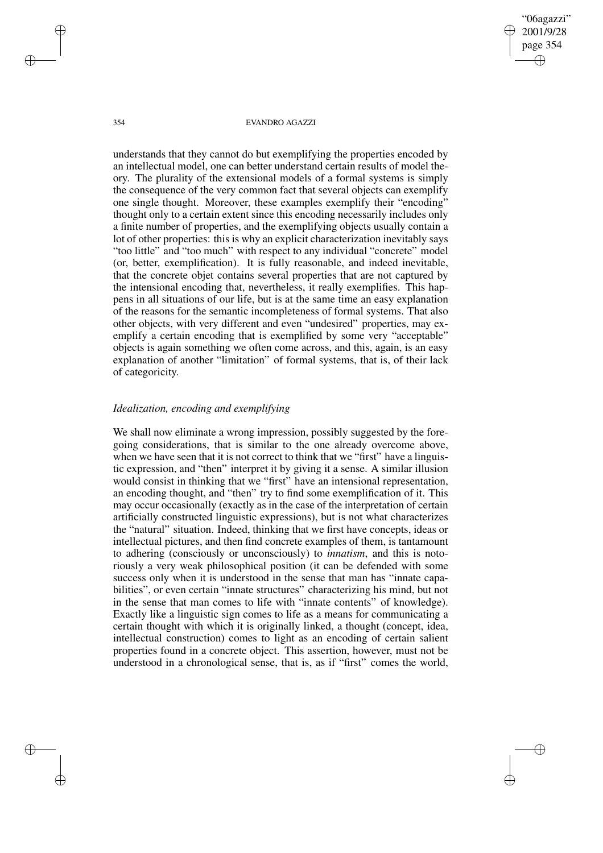understands that they cannot do but exemplifying the properties encoded by an intellectual model, one can better understand certain results of model theory. The plurality of the extensional models of a formal systems is simply the consequence of the very common fact that several objects can exemplify one single thought. Moreover, these examples exemplify their "encoding" thought only to a certain extent since this encoding necessarily includes only a finite number of properties, and the exemplifying objects usually contain a lot of other properties: this is why an explicit characterization inevitably says "too little" and "too much" with respect to any individual "concrete" model (or, better, exemplification). It is fully reasonable, and indeed inevitable, that the concrete objet contains several properties that are not captured by the intensional encoding that, nevertheless, it really exemplifies. This happens in all situations of our life, but is at the same time an easy explanation of the reasons for the semantic incompleteness of formal systems. That also other objects, with very different and even "undesired" properties, may exemplify a certain encoding that is exemplified by some very "acceptable" objects is again something we often come across, and this, again, is an easy explanation of another "limitation" of formal systems, that is, of their lack of categoricity.

# *Idealization, encoding and exemplifying*

We shall now eliminate a wrong impression, possibly suggested by the foregoing considerations, that is similar to the one already overcome above, when we have seen that it is not correct to think that we "first" have a linguistic expression, and "then" interpret it by giving it a sense. A similar illusion would consist in thinking that we "first" have an intensional representation, an encoding thought, and "then" try to find some exemplification of it. This may occur occasionally (exactly as in the case of the interpretation of certain artificially constructed linguistic expressions), but is not what characterizes the "natural" situation. Indeed, thinking that we first have concepts, ideas or intellectual pictures, and then find concrete examples of them, is tantamount to adhering (consciously or unconsciously) to *innatism*, and this is notoriously a very weak philosophical position (it can be defended with some success only when it is understood in the sense that man has "innate capabilities", or even certain "innate structures" characterizing his mind, but not in the sense that man comes to life with "innate contents" of knowledge). Exactly like a linguistic sign comes to life as a means for communicating a certain thought with which it is originally linked, a thought (concept, idea, intellectual construction) comes to light as an encoding of certain salient properties found in a concrete object. This assertion, however, must not be understood in a chronological sense, that is, as if "first" comes the world,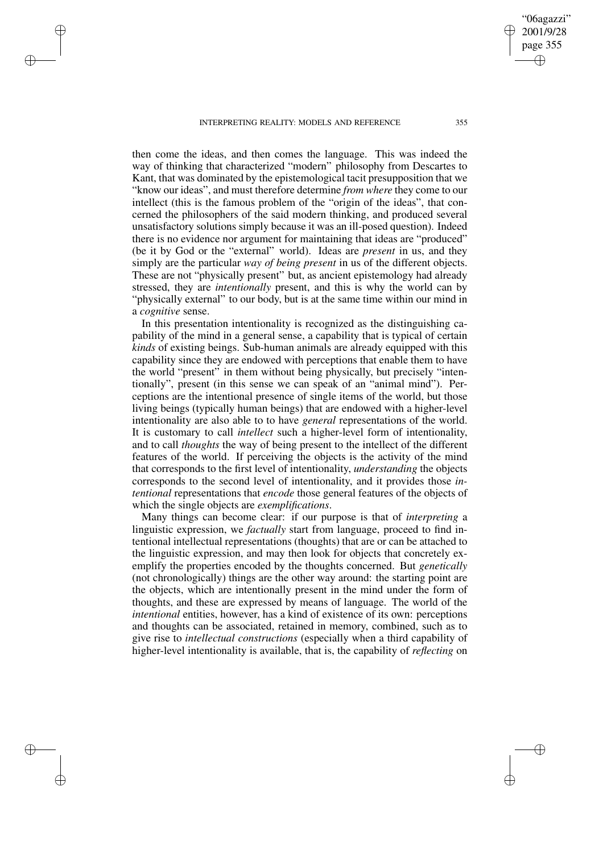then come the ideas, and then comes the language. This was indeed the way of thinking that characterized "modern" philosophy from Descartes to Kant, that was dominated by the epistemological tacit presupposition that we "know our ideas", and must therefore determine *from where* they come to our intellect (this is the famous problem of the "origin of the ideas", that concerned the philosophers of the said modern thinking, and produced several unsatisfactory solutions simply because it was an ill-posed question). Indeed there is no evidence nor argument for maintaining that ideas are "produced" (be it by God or the "external" world). Ideas are *present* in us, and they simply are the particular *way of being present* in us of the different objects. These are not "physically present" but, as ancient epistemology had already stressed, they are *intentionally* present, and this is why the world can by "physically external" to our body, but is at the same time within our mind in a *cognitive* sense.

In this presentation intentionality is recognized as the distinguishing capability of the mind in a general sense, a capability that is typical of certain *kinds* of existing beings. Sub-human animals are already equipped with this capability since they are endowed with perceptions that enable them to have the world "present" in them without being physically, but precisely "intentionally", present (in this sense we can speak of an "animal mind"). Perceptions are the intentional presence of single items of the world, but those living beings (typically human beings) that are endowed with a higher-level intentionality are also able to to have *general* representations of the world. It is customary to call *intellect* such a higher-level form of intentionality, and to call *thoughts* the way of being present to the intellect of the different features of the world. If perceiving the objects is the activity of the mind that corresponds to the first level of intentionality, *understanding* the objects corresponds to the second level of intentionality, and it provides those *intentional* representations that *encode* those general features of the objects of which the single objects are *exemplifications*.

Many things can become clear: if our purpose is that of *interpreting* a linguistic expression, we *factually* start from language, proceed to find intentional intellectual representations (thoughts) that are or can be attached to the linguistic expression, and may then look for objects that concretely exemplify the properties encoded by the thoughts concerned. But *genetically* (not chronologically) things are the other way around: the starting point are the objects, which are intentionally present in the mind under the form of thoughts, and these are expressed by means of language. The world of the *intentional* entities, however, has a kind of existence of its own: perceptions and thoughts can be associated, retained in memory, combined, such as to give rise to *intellectual constructions* (especially when a third capability of higher-level intentionality is available, that is, the capability of *reflecting* on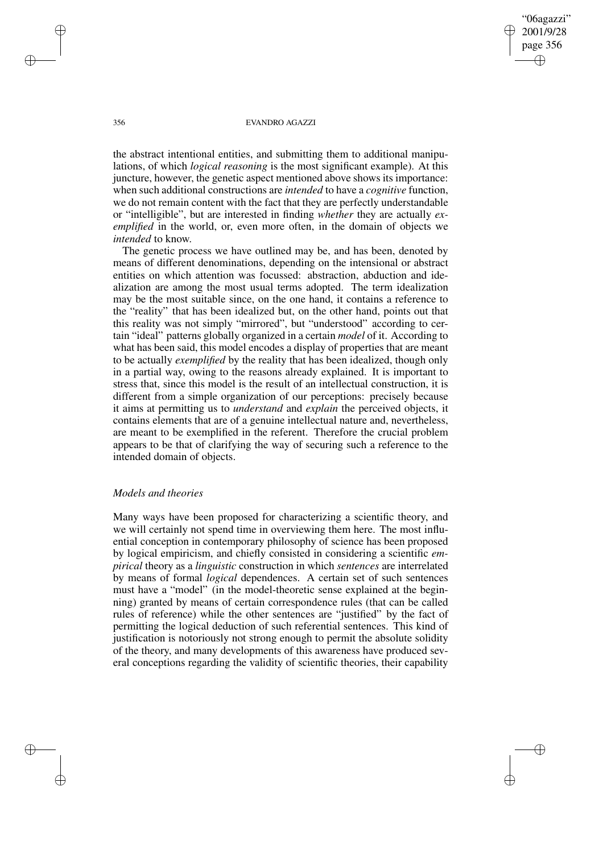the abstract intentional entities, and submitting them to additional manipulations, of which *logical reasoning* is the most significant example). At this juncture, however, the genetic aspect mentioned above shows its importance: when such additional constructions are *intended* to have a *cognitive* function, we do not remain content with the fact that they are perfectly understandable or "intelligible", but are interested in finding *whether* they are actually *exemplified* in the world, or, even more often, in the domain of objects we *intended* to know.

The genetic process we have outlined may be, and has been, denoted by means of different denominations, depending on the intensional or abstract entities on which attention was focussed: abstraction, abduction and idealization are among the most usual terms adopted. The term idealization may be the most suitable since, on the one hand, it contains a reference to the "reality" that has been idealized but, on the other hand, points out that this reality was not simply "mirrored", but "understood" according to certain "ideal" patterns globally organized in a certain *model* of it. According to what has been said, this model encodes a display of properties that are meant to be actually *exemplified* by the reality that has been idealized, though only in a partial way, owing to the reasons already explained. It is important to stress that, since this model is the result of an intellectual construction, it is different from a simple organization of our perceptions: precisely because it aims at permitting us to *understand* and *explain* the perceived objects, it contains elements that are of a genuine intellectual nature and, nevertheless, are meant to be exemplified in the referent. Therefore the crucial problem appears to be that of clarifying the way of securing such a reference to the intended domain of objects.

### *Models and theories*

Many ways have been proposed for characterizing a scientific theory, and we will certainly not spend time in overviewing them here. The most influential conception in contemporary philosophy of science has been proposed by logical empiricism, and chiefly consisted in considering a scientific *empirical* theory as a *linguistic* construction in which *sentences* are interrelated by means of formal *logical* dependences. A certain set of such sentences must have a "model" (in the model-theoretic sense explained at the beginning) granted by means of certain correspondence rules (that can be called rules of reference) while the other sentences are "justified" by the fact of permitting the logical deduction of such referential sentences. This kind of justification is notoriously not strong enough to permit the absolute solidity of the theory, and many developments of this awareness have produced several conceptions regarding the validity of scientific theories, their capability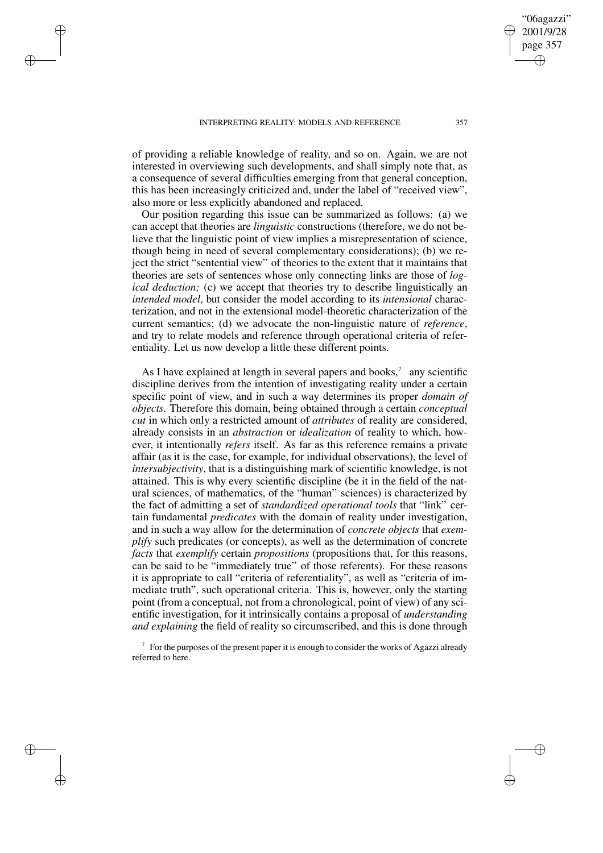of providing a reliable knowledge of reality, and so on. Again, we are not interested in overviewing such developments, and shall simply note that, as a consequence of several difficulties emerging from that general conception, this has been increasingly criticized and, under the label of "received view", also more or less explicitly abandoned and replaced.

Our position regarding this issue can be summarized as follows: (a) we can accept that theories are *linguistic* constructions (therefore, we do not believe that the linguistic point of view implies a misrepresentation of science, though being in need of several complementary considerations); (b) we reject the strict "sentential view" of theories to the extent that it maintains that theories are sets of sentences whose only connecting links are those of *logical deduction;* (c) we accept that theories try to describe linguistically an *intended model*, but consider the model according to its *intensional* characterization, and not in the extensional model-theoretic characterization of the current semantics; (d) we advocate the non-linguistic nature of *reference*, and try to relate models and reference through operational criteria of referentiality. Let us now develop a little these different points.

As I have explained at length in several papers and books, $\alpha$  any scientific discipline derives from the intention of investigating reality under a certain specific point of view, and in such a way determines its proper *domain of objects*. Therefore this domain, being obtained through a certain *conceptual cut* in which only a restricted amount of *attributes* of reality are considered, already consists in an *abstraction* or *idealization* of reality to which, however, it intentionally *refers* itself. As far as this reference remains a private affair (as it is the case, for example, for individual observations), the level of *intersubjectivity*, that is a distinguishing mark of scientific knowledge, is not attained. This is why every scientific discipline (be it in the field of the natural sciences, of mathematics, of the "human" sciences) is characterized by the fact of admitting a set of *standardized operational tools* that "link" certain fundamental *predicates* with the domain of reality under investigation, and in such a way allow for the determination of *concrete objects* that *exemplify* such predicates (or concepts), as well as the determination of concrete *facts* that *exemplify* certain *propositions* (propositions that, for this reasons, can be said to be "immediately true" of those referents). For these reasons it is appropriate to call "criteria of referentiality", as well as "criteria of immediate truth", such operational criteria. This is, however, only the starting point (from a conceptual, not from a chronological, point of view) of any scientific investigation, for it intrinsically contains a proposal of *understanding and explaining* the field of reality so circumscribed, and this is done through

 $\frac{7}{7}$  For the purposes of the present paper it is enough to consider the works of Agazzi already referred to here.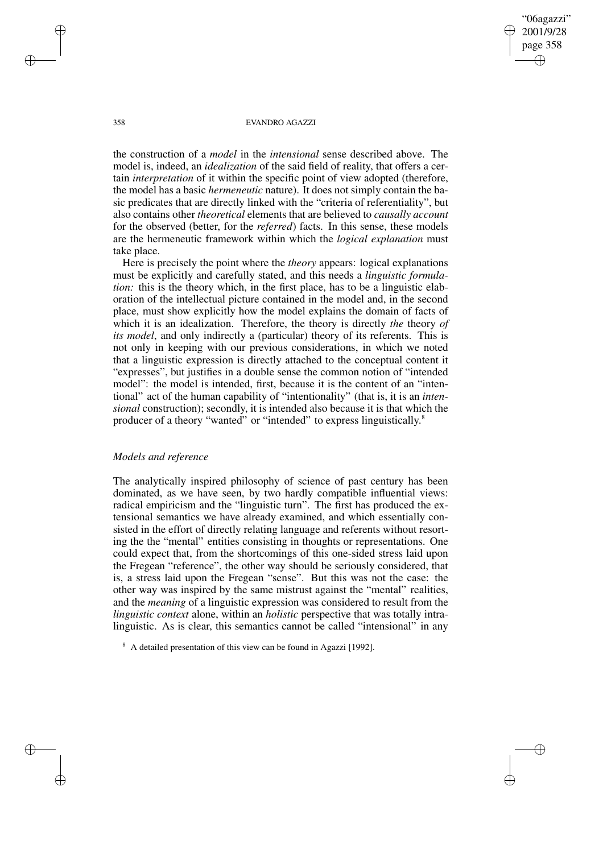the construction of a *model* in the *intensional* sense described above. The model is, indeed, an *idealization* of the said field of reality, that offers a certain *interpretation* of it within the specific point of view adopted (therefore, the model has a basic *hermeneutic* nature). It does not simply contain the basic predicates that are directly linked with the "criteria of referentiality", but also contains other *theoretical* elements that are believed to *causally account* for the observed (better, for the *referred*) facts. In this sense, these models are the hermeneutic framework within which the *logical explanation* must take place.

Here is precisely the point where the *theory* appears: logical explanations must be explicitly and carefully stated, and this needs a *linguistic formulation:* this is the theory which, in the first place, has to be a linguistic elaboration of the intellectual picture contained in the model and, in the second place, must show explicitly how the model explains the domain of facts of which it is an idealization. Therefore, the theory is directly *the* theory *of its model*, and only indirectly a (particular) theory of its referents. This is not only in keeping with our previous considerations, in which we noted that a linguistic expression is directly attached to the conceptual content it "expresses", but justifies in a double sense the common notion of "intended model": the model is intended, first, because it is the content of an "intentional" act of the human capability of "intentionality" (that is, it is an *intensional* construction); secondly, it is intended also because it is that which the producer of a theory "wanted" or "intended" to express linguistically.<sup>8</sup>

## *Models and reference*

The analytically inspired philosophy of science of past century has been dominated, as we have seen, by two hardly compatible influential views: radical empiricism and the "linguistic turn". The first has produced the extensional semantics we have already examined, and which essentially consisted in the effort of directly relating language and referents without resorting the the "mental" entities consisting in thoughts or representations. One could expect that, from the shortcomings of this one-sided stress laid upon the Fregean "reference", the other way should be seriously considered, that is, a stress laid upon the Fregean "sense". But this was not the case: the other way was inspired by the same mistrust against the "mental" realities, and the *meaning* of a linguistic expression was considered to result from the *linguistic context* alone, within an *holistic* perspective that was totally intralinguistic. As is clear, this semantics cannot be called "intensional" in any

<sup>8</sup> A detailed presentation of this view can be found in Agazzi [1992].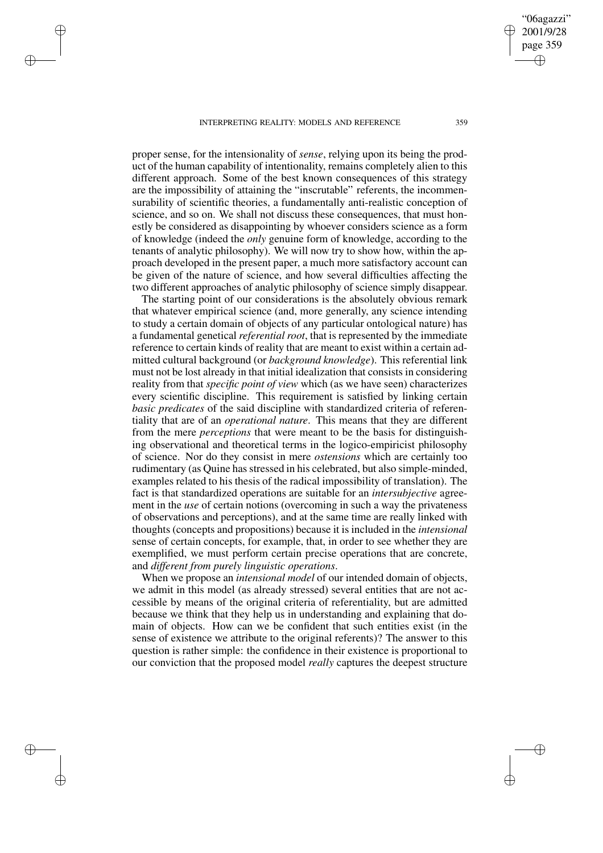proper sense, for the intensionality of *sense*, relying upon its being the product of the human capability of intentionality, remains completely alien to this different approach. Some of the best known consequences of this strategy are the impossibility of attaining the "inscrutable" referents, the incommensurability of scientific theories, a fundamentally anti-realistic conception of science, and so on. We shall not discuss these consequences, that must honestly be considered as disappointing by whoever considers science as a form of knowledge (indeed the *only* genuine form of knowledge, according to the tenants of analytic philosophy). We will now try to show how, within the approach developed in the present paper, a much more satisfactory account can be given of the nature of science, and how several difficulties affecting the two different approaches of analytic philosophy of science simply disappear.

The starting point of our considerations is the absolutely obvious remark that whatever empirical science (and, more generally, any science intending to study a certain domain of objects of any particular ontological nature) has a fundamental genetical *referential root*, that is represented by the immediate reference to certain kinds of reality that are meant to exist within a certain admitted cultural background (or *background knowledge*). This referential link must not be lost already in that initial idealization that consists in considering reality from that *specific point of view* which (as we have seen) characterizes every scientific discipline. This requirement is satisfied by linking certain *basic predicates* of the said discipline with standardized criteria of referentiality that are of an *operational nature*. This means that they are different from the mere *perceptions* that were meant to be the basis for distinguishing observational and theoretical terms in the logico-empiricist philosophy of science. Nor do they consist in mere *ostensions* which are certainly too rudimentary (as Quine has stressed in his celebrated, but also simple-minded, examples related to his thesis of the radical impossibility of translation). The fact is that standardized operations are suitable for an *intersubjective* agreement in the *use* of certain notions (overcoming in such a way the privateness of observations and perceptions), and at the same time are really linked with thoughts (concepts and propositions) because it is included in the *intensional* sense of certain concepts, for example, that, in order to see whether they are exemplified, we must perform certain precise operations that are concrete, and *different from purely linguistic operations*.

When we propose an *intensional model* of our intended domain of objects, we admit in this model (as already stressed) several entities that are not accessible by means of the original criteria of referentiality, but are admitted because we think that they help us in understanding and explaining that domain of objects. How can we be confident that such entities exist (in the sense of existence we attribute to the original referents)? The answer to this question is rather simple: the confidence in their existence is proportional to our conviction that the proposed model *really* captures the deepest structure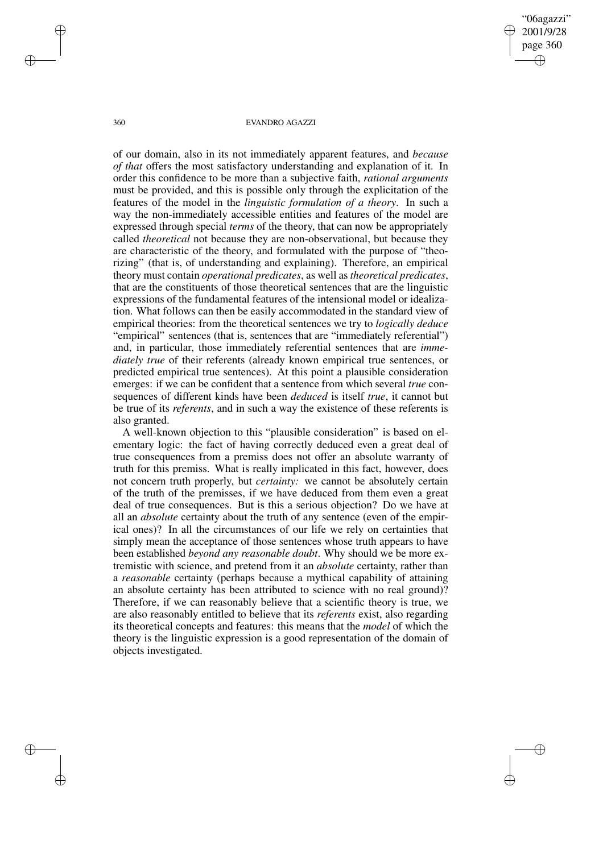of our domain, also in its not immediately apparent features, and *because of that* offers the most satisfactory understanding and explanation of it. In order this confidence to be more than a subjective faith, *rational arguments* must be provided, and this is possible only through the explicitation of the features of the model in the *linguistic formulation of a theory*. In such a way the non-immediately accessible entities and features of the model are expressed through special *terms* of the theory, that can now be appropriately called *theoretical* not because they are non-observational, but because they are characteristic of the theory, and formulated with the purpose of "theorizing" (that is, of understanding and explaining). Therefore, an empirical theory must contain *operational predicates*, as well as *theoretical predicates*, that are the constituents of those theoretical sentences that are the linguistic expressions of the fundamental features of the intensional model or idealization. What follows can then be easily accommodated in the standard view of empirical theories: from the theoretical sentences we try to *logically deduce* "empirical" sentences (that is, sentences that are "immediately referential") and, in particular, those immediately referential sentences that are *immediately true* of their referents (already known empirical true sentences, or predicted empirical true sentences). At this point a plausible consideration emerges: if we can be confident that a sentence from which several *true* consequences of different kinds have been *deduced* is itself *true*, it cannot but be true of its *referents*, and in such a way the existence of these referents is also granted.

A well-known objection to this "plausible consideration" is based on elementary logic: the fact of having correctly deduced even a great deal of true consequences from a premiss does not offer an absolute warranty of truth for this premiss. What is really implicated in this fact, however, does not concern truth properly, but *certainty:* we cannot be absolutely certain of the truth of the premisses, if we have deduced from them even a great deal of true consequences. But is this a serious objection? Do we have at all an *absolute* certainty about the truth of any sentence (even of the empirical ones)? In all the circumstances of our life we rely on certainties that simply mean the acceptance of those sentences whose truth appears to have been established *beyond any reasonable doubt*. Why should we be more extremistic with science, and pretend from it an *absolute* certainty, rather than a *reasonable* certainty (perhaps because a mythical capability of attaining an absolute certainty has been attributed to science with no real ground)? Therefore, if we can reasonably believe that a scientific theory is true, we are also reasonably entitled to believe that its *referents* exist, also regarding its theoretical concepts and features: this means that the *model* of which the theory is the linguistic expression is a good representation of the domain of objects investigated.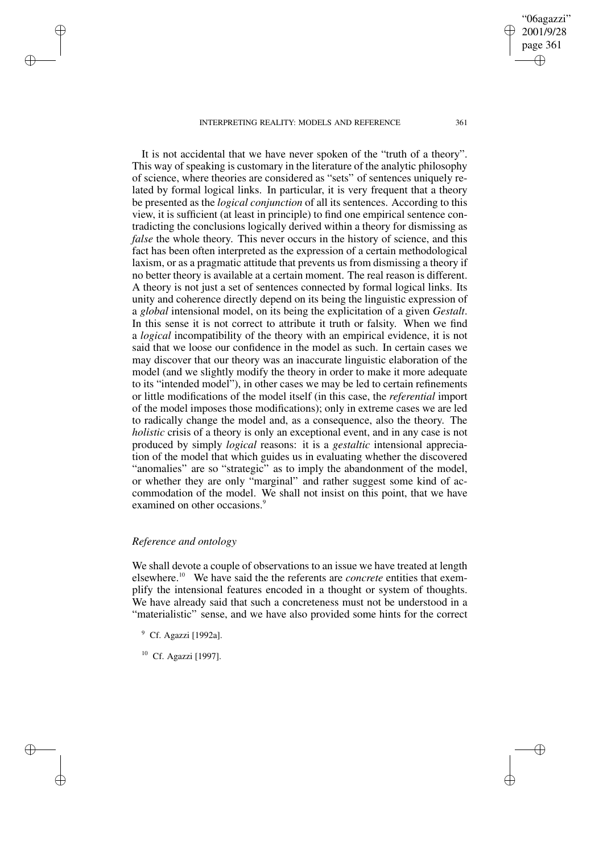It is not accidental that we have never spoken of the "truth of a theory". This way of speaking is customary in the literature of the analytic philosophy of science, where theories are considered as "sets" of sentences uniquely related by formal logical links. In particular, it is very frequent that a theory be presented as the *logical conjunction* of all its sentences. According to this view, it is sufficient (at least in principle) to find one empirical sentence contradicting the conclusions logically derived within a theory for dismissing as *false* the whole theory. This never occurs in the history of science, and this fact has been often interpreted as the expression of a certain methodological laxism, or as a pragmatic attitude that prevents us from dismissing a theory if no better theory is available at a certain moment. The real reason is different. A theory is not just a set of sentences connected by formal logical links. Its unity and coherence directly depend on its being the linguistic expression of a *global* intensional model, on its being the explicitation of a given *Gestalt*. In this sense it is not correct to attribute it truth or falsity. When we find a *logical* incompatibility of the theory with an empirical evidence, it is not said that we loose our confidence in the model as such. In certain cases we may discover that our theory was an inaccurate linguistic elaboration of the model (and we slightly modify the theory in order to make it more adequate to its "intended model"), in other cases we may be led to certain refinements or little modifications of the model itself (in this case, the *referential* import of the model imposes those modifications); only in extreme cases we are led to radically change the model and, as a consequence, also the theory. The *holistic* crisis of a theory is only an exceptional event, and in any case is not produced by simply *logical* reasons: it is a *gestaltic* intensional appreciation of the model that which guides us in evaluating whether the discovered "anomalies" are so "strategic" as to imply the abandonment of the model, or whether they are only "marginal" and rather suggest some kind of accommodation of the model. We shall not insist on this point, that we have examined on other occasions.<sup>9</sup>

# *Reference and ontology*

We shall devote a couple of observations to an issue we have treated at length elsewhere.<sup>10</sup> We have said the the referents are *concrete* entities that exemplify the intensional features encoded in a thought or system of thoughts. We have already said that such a concreteness must not be understood in a "materialistic" sense, and we have also provided some hints for the correct

<sup>9</sup> Cf. Agazzi [1992a].

<sup>10</sup> Cf. Agazzi [1997].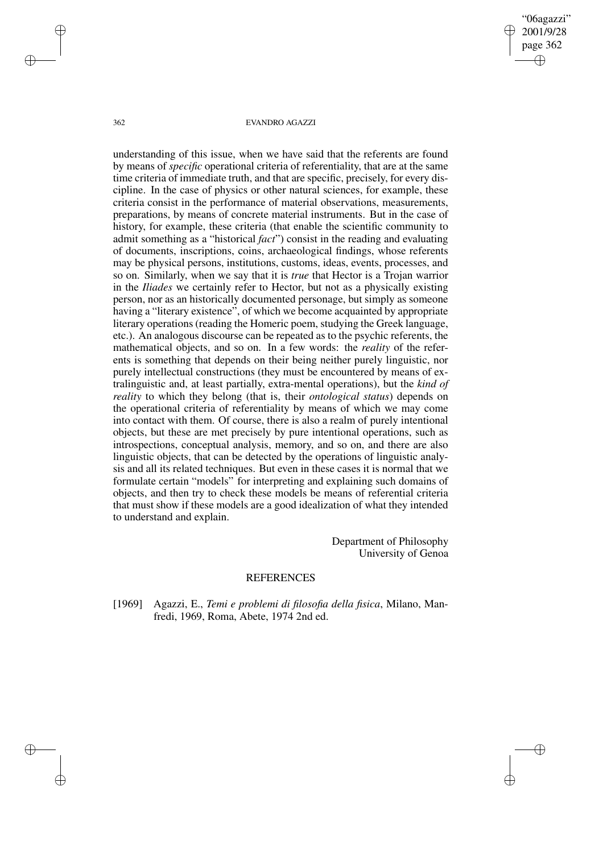understanding of this issue, when we have said that the referents are found by means of *specific* operational criteria of referentiality, that are at the same time criteria of immediate truth, and that are specific, precisely, for every discipline. In the case of physics or other natural sciences, for example, these criteria consist in the performance of material observations, measurements, preparations, by means of concrete material instruments. But in the case of history, for example, these criteria (that enable the scientific community to admit something as a "historical *fact*") consist in the reading and evaluating of documents, inscriptions, coins, archaeological findings, whose referents may be physical persons, institutions, customs, ideas, events, processes, and so on. Similarly, when we say that it is *true* that Hector is a Trojan warrior in the *Iliades* we certainly refer to Hector, but not as a physically existing person, nor as an historically documented personage, but simply as someone having a "literary existence", of which we become acquainted by appropriate literary operations (reading the Homeric poem, studying the Greek language, etc.). An analogous discourse can be repeated as to the psychic referents, the mathematical objects, and so on. In a few words: the *reality* of the referents is something that depends on their being neither purely linguistic, nor purely intellectual constructions (they must be encountered by means of extralinguistic and, at least partially, extra-mental operations), but the *kind of reality* to which they belong (that is, their *ontological status*) depends on the operational criteria of referentiality by means of which we may come into contact with them. Of course, there is also a realm of purely intentional objects, but these are met precisely by pure intentional operations, such as introspections, conceptual analysis, memory, and so on, and there are also linguistic objects, that can be detected by the operations of linguistic analysis and all its related techniques. But even in these cases it is normal that we formulate certain "models" for interpreting and explaining such domains of objects, and then try to check these models be means of referential criteria that must show if these models are a good idealization of what they intended to understand and explain.

> Department of Philosophy University of Genoa

### REFERENCES

[1969] Agazzi, E., *Temi e problemi di filosofia della fisica*, Milano, Manfredi, 1969, Roma, Abete, 1974 2nd ed.